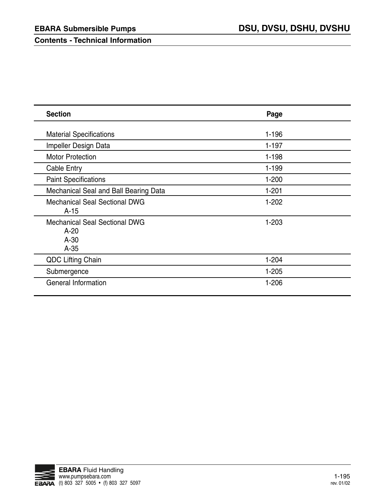**Contents - Technical Information**

| <b>Section</b>                                                     | Page      |
|--------------------------------------------------------------------|-----------|
| <b>Material Specifications</b>                                     | $1 - 196$ |
| Impeller Design Data                                               | $1 - 197$ |
| <b>Motor Protection</b>                                            | $1 - 198$ |
| Cable Entry                                                        | 1-199     |
| <b>Paint Specifications</b>                                        | $1 - 200$ |
| Mechanical Seal and Ball Bearing Data                              | $1 - 201$ |
| <b>Mechanical Seal Sectional DWG</b><br>$A-15$                     | $1 - 202$ |
| <b>Mechanical Seal Sectional DWG</b><br>$A-20$<br>$A-30$<br>$A-35$ | $1 - 203$ |
| <b>QDC Lifting Chain</b>                                           | $1 - 204$ |
| Submergence                                                        | $1 - 205$ |
| <b>General Information</b>                                         | $1 - 206$ |

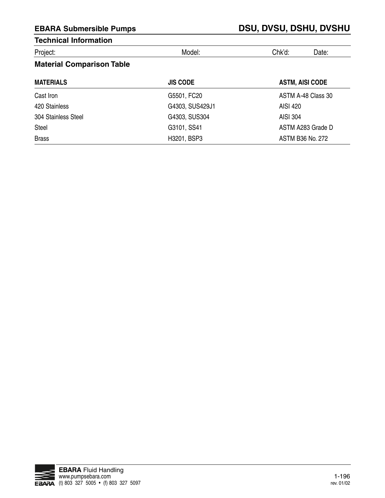| Project: |  |  |
|----------|--|--|
|          |  |  |

Project: Model: Chk'd: Date:

## **Material Comparison Table**

| <b>MATERIALS</b>    | <b>JIS CODE</b> | <b>ASTM, AISI CODE</b> |
|---------------------|-----------------|------------------------|
| Cast Iron           | G5501, FC20     | ASTM A-48 Class 30     |
| 420 Stainless       | G4303, SUS429J1 | AISI 420               |
| 304 Stainless Steel | G4303, SUS304   | AISI 304               |
| Steel               | G3101, SS41     | ASTM A283 Grade D      |
| <b>Brass</b>        | H3201, BSP3     | ASTM B36 No. 272       |

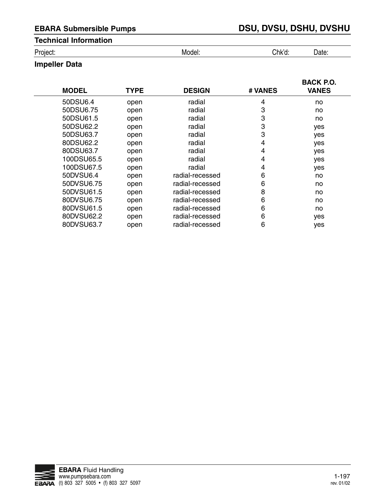Project: Model: Chk'd: Date:

## **Impeller Data**

| <b>MODEL</b> | <b>TYPE</b> | <b>DESIGN</b>   | # VANES | <b>BACK P.O.</b><br><b>VANES</b> |
|--------------|-------------|-----------------|---------|----------------------------------|
| 50DSU6.4     | open        | radial          | 4       | no                               |
| 50DSU6.75    | open        | radial          | 3       | no                               |
| 50DSU61.5    | open        | radial          | 3       | no                               |
| 50DSU62.2    | open        | radial          | 3       | yes                              |
| 50DSU63.7    | open        | radial          | 3       | yes                              |
| 80DSU62.2    | open        | radial          | 4       | yes                              |
| 80DSU63.7    | open        | radial          | 4       | yes                              |
| 100DSU65.5   | open        | radial          | 4       | yes                              |
| 100DSU67.5   | open        | radial          | 4       | yes                              |
| 50DVSU6.4    | open        | radial-recessed | 6       | no                               |
| 50DVSU6.75   | open        | radial-recessed | 6       | no                               |
| 50DVSU61.5   | open        | radial-recessed | 8       | no                               |
| 80DVSU6.75   | open        | radial-recessed | 6       | no                               |
| 80DVSU61.5   | open        | radial-recessed | 6       | no                               |
| 80DVSU62.2   | open        | radial-recessed | 6       | yes                              |
| 80DVSU63.7   | open        | radial-recessed | 6       | yes                              |

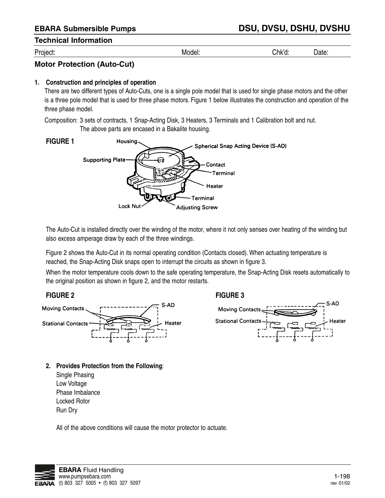Project: Model: Chk'd: Date:

## **Motor Protection (Auto-Cut)**

#### **1. Construction and principles of operation**

There are two different types of Auto-Cuts, one is a single pole model that is used for single phase motors and the other is a three pole model that is used for three phase motors. Figure 1 below illustrates the construction and operation of the three phase model.

Composition: 3 sets of contracts, 1 Snap-Acting Disk, 3 Heaters, 3 Terminals and 1 Calibration bolt and nut. The above parts are encased in a Bakalite housing.



The Auto-Cut is installed directly over the winding of the motor, where it not only senses over heating of the winding but also excess amperage draw by each of the three windings.

Figure 2 shows the Auto-Cut in its normal operating condition (Contacts closed). When actuating temperature is reached, the Snap-Acting Disk snaps open to interrupt the circuits as shown in figure 3.

When the motor temperature cools down to the safe operating temperature, the Snap-Acting Disk resets automatically to the original position as shown in figure 2, and the motor restarts.



- **2. Provides Protection from the Following**:
	- Single Phasing Low Voltage Phase Imbalance Locked Rotor Run Dry

All of the above conditions will cause the motor protector to actuate.

#### **FIGURE 2 FIGURE 3**



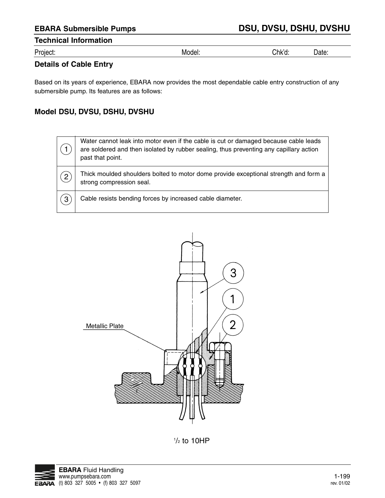| -<br>مہر<br>'⊔ו ، | w<br>. | .nv | ۱۵+۵<br>---<br>----- |  |
|-------------------|--------|-----|----------------------|--|
|                   |        |     |                      |  |

## **Details of Cable Entry**

Based on its years of experience, EBARA now provides the most dependable cable entry construction of any submersible pump. Its features are as follows:

## **Model DSU, DVSU, DSHU, DVSHU**

|                | Water cannot leak into motor even if the cable is cut or damaged because cable leads<br>are soldered and then isolated by rubber sealing, thus preventing any capillary action<br>past that point. |
|----------------|----------------------------------------------------------------------------------------------------------------------------------------------------------------------------------------------------|
| $\overline{2}$ | Thick moulded shoulders bolted to motor dome provide exceptional strength and form a<br>strong compression seal.                                                                                   |
| 3              | Cable resists bending forces by increased cable diameter.                                                                                                                                          |



 $\frac{1}{2}$  to 10HP

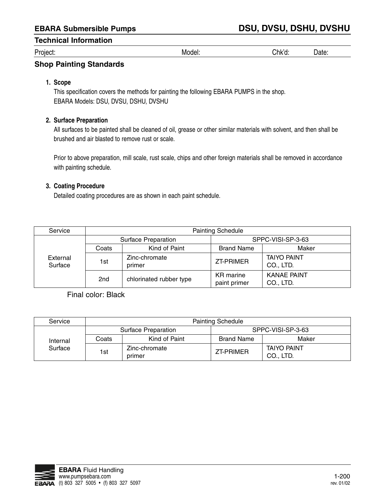| -<br>Project: | Mю<br>ີ" <sup>0</sup> ປະເ<br>____ | ;nk′d<br>ч.<br>$\sim$ $\sim$ | ,,,,<br>Jale<br>. |  |
|---------------|-----------------------------------|------------------------------|-------------------|--|
|---------------|-----------------------------------|------------------------------|-------------------|--|

### **Shop Painting Standards**

#### **1. Scope**

This specification covers the methods for painting the following EBARA PUMPS in the shop. EBARA Models: DSU, DVSU, DSHU, DVSHU

#### **2. Surface Preparation**

All surfaces to be painted shall be cleaned of oil, grease or other similar materials with solvent, and then shall be brushed and air blasted to remove rust or scale.

Prior to above preparation, mill scale, rust scale, chips and other foreign materials shall be removed in accordance with painting schedule.

#### **3. Coating Procedure**

Detailed coating procedures are as shown in each paint schedule.

| Service             | <b>Painting Schedule</b> |                         |                           |                                 |
|---------------------|--------------------------|-------------------------|---------------------------|---------------------------------|
|                     |                          | Surface Preparation     | SPPC-VISI-SP-3-63         |                                 |
|                     | Coats                    | Kind of Paint           | <b>Brand Name</b>         | Maker                           |
| External<br>Surface | 1st                      | Zinc-chromate<br>primer | <b>ZT-PRIMER</b>          | <b>TAIYO PAINT</b><br>CO., LTD. |
|                     | 2 <sub>nd</sub>          | chlorinated rubber type | KR marine<br>paint primer | <b>KANAE PAINT</b><br>CO., LTD. |

Final color: Black

| Service             | <b>Painting Schedule</b> |                         |                   |                                 |  |
|---------------------|--------------------------|-------------------------|-------------------|---------------------------------|--|
|                     |                          | Surface Preparation     |                   | SPPC-VISI-SP-3-63               |  |
| Internal<br>Surface | Coats                    | Kind of Paint           | <b>Brand Name</b> | Maker                           |  |
|                     | 1st                      | Zinc-chromate<br>primer | ZT-PRIMER         | <b>TAIYO PAINT</b><br>CO., LTD. |  |

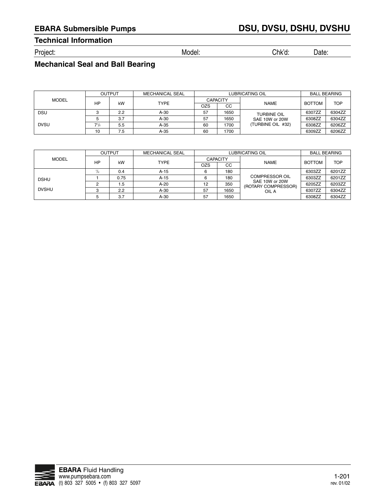# **EBARA Submersible Pumps DSU, DVSU, DSHU, DVSHU**

## **Technical Information**

Project: Model: Chk'd: Date:

## **Mechanical Seal and Ball Bearing**

|              | <b>LUBRICATING OIL</b><br><b>MECHANICAL SEAL</b><br><b>OUTPUT</b> |     |             | <b>BALL BEARING</b> |      |                    |               |            |
|--------------|-------------------------------------------------------------------|-----|-------------|---------------------|------|--------------------|---------------|------------|
| <b>MODEL</b> |                                                                   |     |             | <b>CAPACITY</b>     |      |                    |               |            |
|              | НP                                                                | kW  | <b>TYPE</b> | OZS                 | CC   | <b>NAME</b>        | <b>BOTTOM</b> | <b>TOP</b> |
| <b>DSU</b>   |                                                                   | 2.2 | $A-30$      | 57                  | 1650 | <b>TURBINE OIL</b> | 6307ZZ        | 6304ZZ     |
|              |                                                                   | 3.7 | $A-30$      | 57                  | 1650 | SAE 10W or 20W     | 6308ZZ        | 6304ZZ     |
| <b>DVSU</b>  | $7^{1/2}$                                                         | 5.5 | $A-35$      | 60                  | 1700 | (TURBINE OIL #32)  | 6308ZZ        | 6206ZZ     |
|              | 10                                                                | 7.5 | $A-35$      | 60                  | 1700 |                    | 6309ZZ        | 6206ZZ     |

|              | <b>OUTPUT</b> |      | <b>MECHANICAL SEAL</b> |                 | <b>LUBRICATING OIL</b> |                                       |               | <b>BALL BEARING</b> |  |
|--------------|---------------|------|------------------------|-----------------|------------------------|---------------------------------------|---------------|---------------------|--|
| <b>MODEL</b> |               |      |                        | <b>CAPACITY</b> |                        |                                       |               |                     |  |
|              | <b>HP</b>     | kW   | <b>TYPE</b>            | OZS             | CC                     | <b>NAME</b>                           | <b>BOTTOM</b> | <b>TOP</b>          |  |
|              |               | 0.4  | $A-15$                 |                 | 180                    |                                       | 6303ZZ        | 6201ZZ              |  |
| <b>DSHU</b>  |               | 0.75 | $A-15$                 |                 | 180                    | <b>COMPRESSOR OIL</b>                 | 6303ZZ        | 6201ZZ              |  |
|              |               | 1.5  | $A-20$                 | 12              | 350                    | SAE 10W or 20W<br>(ROTARY COMPRESSOR) | 6205ZZ        | 6203ZZ              |  |
| <b>DVSHU</b> |               | 2.2  | $A-30$                 | 57              | 1650                   | OIL A                                 | 6307ZZ        | 6304ZZ              |  |
|              |               | 3.7  | $A-30$                 | 57              | 1650                   |                                       | 6308ZZ        | 6304ZZ              |  |

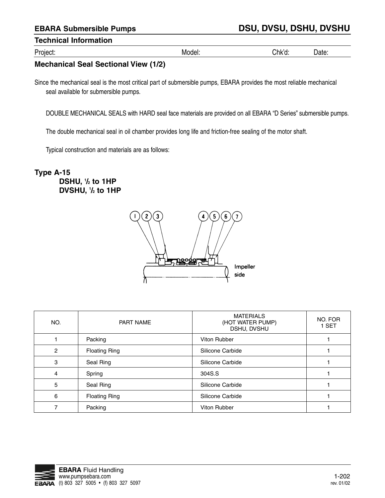Project: Model: Chk'd: Date:

## **Mechanical Seal Sectional View (1/2)**

Since the mechanical seal is the most critical part of submersible pumps, EBARA provides the most reliable mechanical seal available for submersible pumps.

DOUBLE MECHANICAL SEALS with HARD seal face materials are provided on all EBARA "D Series" submersible pumps.

The double mechanical seal in oil chamber provides long life and friction-free sealing of the motor shaft.

Typical construction and materials are as follows:

## **Type A-15 DSHU, <sup>1</sup> /2 to 1HP DVSHU, <sup>1</sup> /2 to 1HP**



| NO.          | PART NAME            | <b>MATERIALS</b><br>(HOT WATER PUMP)<br>DSHU, DVSHU | NO. FOR<br>1 SET |
|--------------|----------------------|-----------------------------------------------------|------------------|
|              | Packing              | Viton Rubber                                        |                  |
| $\mathbf{2}$ | <b>Floating Ring</b> | Silicone Carbide                                    |                  |
| 3            | Seal Ring            | Silicone Carbide                                    |                  |
| 4            | Spring               | 304S.S                                              |                  |
| 5            | Seal Ring            | Silicone Carbide                                    |                  |
| 6            | <b>Floating Ring</b> | Silicone Carbide                                    |                  |
|              | Packing              | Viton Rubber                                        |                  |

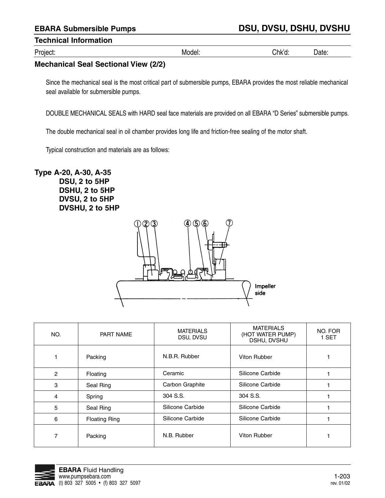Project: Model: Chk'd: Date:

## **Mechanical Seal Sectional View (2/2)**

Since the mechanical seal is the most critical part of submersible pumps, EBARA provides the most reliable mechanical seal available for submersible pumps.

DOUBLE MECHANICAL SEALS with HARD seal face materials are provided on all EBARA "D Series" submersible pumps.

The double mechanical seal in oil chamber provides long life and friction-free sealing of the motor shaft.

Typical construction and materials are as follows:

**Type A-20, A-30, A-35 DSU, 2 to 5HP DSHU, 2 to 5HP DVSU, 2 to 5HP DVSHU, 2 to 5HP**



| NO. | PART NAME            | <b>MATERIALS</b><br>DSU, DVSU | <b>MATERIALS</b><br>(HOT WATER PUMP)<br>DSHU, DVSHU | NO. FOR<br>1 SET |
|-----|----------------------|-------------------------------|-----------------------------------------------------|------------------|
|     | Packing              | N.B.R. Rubber                 | Viton Rubber                                        |                  |
| 2   | Floating             | Ceramic                       | Silicone Carbide                                    |                  |
| 3   | Seal Ring            | Carbon Graphite               | Silicone Carbide                                    |                  |
| 4   | Spring               | 304 S.S.                      | 304 S.S.                                            |                  |
| 5   | Seal Ring            | Silicone Carbide              | Silicone Carbide                                    |                  |
| 6   | <b>Floating Ring</b> | Silicone Carbide              | Silicone Carbide                                    |                  |
|     | Packing              | N.B. Rubber                   | Viton Rubber                                        |                  |

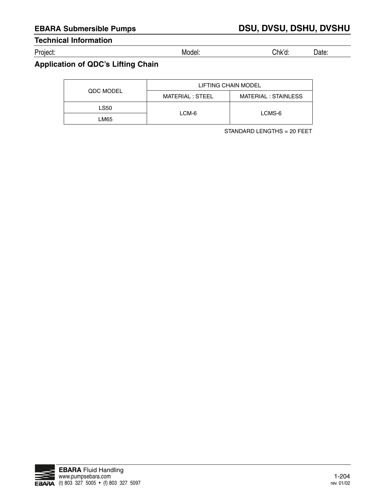Project: Model: Chk'd: Date:

## **Application of QDC's Lifting Chain**

|                  | LIFTING CHAIN MODEL |                      |  |
|------------------|---------------------|----------------------|--|
| <b>QDC MODEL</b> | MATERIAL : STEEL    | MATERIAL : STAINLESS |  |
| <b>LS50</b>      |                     | LCMS-6               |  |
| LM65             | LCM-6               |                      |  |

STANDARD LENGTHS = 20 FEET

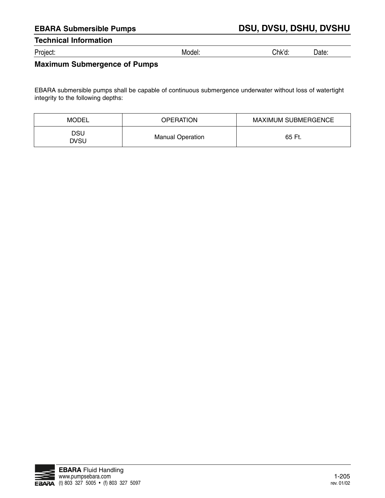Project: Model: Chk'd: Date:

## **Maximum Submergence of Pumps**

EBARA submersible pumps shall be capable of continuous submergence underwater without loss of watertight integrity to the following depths:

| MODEL       | <b>OPERATION</b>        | <b>MAXIMUM SUBMERGENCE</b> |
|-------------|-------------------------|----------------------------|
| DSU<br>DVSU | <b>Manual Operation</b> | 65 Ft.                     |

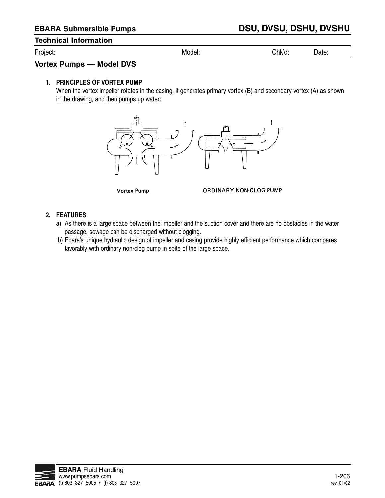Project: Model: Chk'd: Date:

#### **Vortex Pumps — Model DVS**

#### **1. PRINCIPLES OF VORTEX PUMP**

When the vortex impeller rotates in the casing, it generates primary vortex (B) and secondary vortex (A) as shown in the drawing, and then pumps up water:



**Vortex Pump** 

ORDINARY NON-CLOG PUMP

#### **2. FEATURES**

- a) As there is a large space between the impeller and the suction cover and there are no obstacles in the water passage, sewage can be discharged without clogging.
- b) Ebara's unique hydraulic design of impeller and casing provide highly efficient performance which compares favorably with ordinary non-clog pump in spite of the large space.

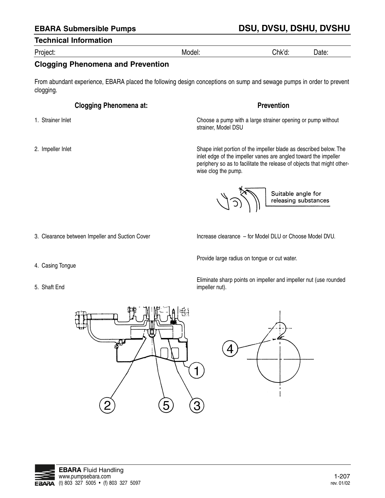# **EBARA Submersible Pumps DSU, DVSU, DSHU, DVSHU**

#### **Technical Information**

Project: Model: Chk'd: Date:

## **Clogging Phenomena and Prevention**

From abundant experience, EBARA placed the following design conceptions on sump and sewage pumps in order to prevent clogging.

### **Clogging Phenomena at:**

- 1. Strainer Inlet
- 2. Impeller Inlet

**Prevention**

Choose a pump with a large strainer opening or pump without strainer, Model DSU

Shape inlet portion of the impeller blade as described below. The inlet edge of the impeller vanes are angled toward the impeller periphery so as to facilitate the release of objects that might otherwise clog the pump.

Suitable angle for releasing substances

3. Clearance between Impeller and Suction Cover

Increase clearance – for Model DLU or Choose Model DVU.

- 4. Casing Tongue
- 5. Shaft End

Provide large radius on tongue or cut water.

Eliminate sharp points on impeller and impeller nut (use rounded impeller nut).





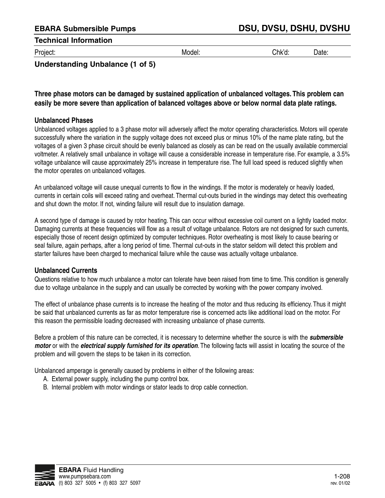Project: Model: Chk'd: Date:

## **Understanding Unbalance (1 of 5)**

## **Three phase motors can be damaged by sustained application of unbalanced voltages. This problem can easily be more severe than application of balanced voltages above or below normal data plate ratings.**

### **Unbalanced Phases**

Unbalanced voltages applied to a 3 phase motor will adversely affect the motor operating characteristics. Motors will operate successfully where the variation in the supply voltage does not exceed plus or minus 10% of the name plate rating, but the voltages of a given 3 phase circuit should be evenly balanced as closely as can be read on the usually available commercial voltmeter. A relatively small unbalance in voltage will cause a considerable increase in temperature rise. For example, a 3.5% voltage unbalance will cause approximately 25% increase in temperature rise. The full load speed is reduced slightly when the motor operates on unbalanced voltages.

An unbalanced voltage will cause unequal currents to flow in the windings. If the motor is moderately or heavily loaded, currents in certain coils will exceed rating and overheat. Thermal cut-outs buried in the windings may detect this overheating and shut down the motor. If not, winding failure will result due to insulation damage.

A second type of damage is caused by rotor heating. This can occur without excessive coil current on a lightly loaded motor. Damaging currents at these frequencies will flow as a result of voltage unbalance. Rotors are not designed for such currents, especially those of recent design optimized by computer techniques. Rotor overheating is most likely to cause bearing or seal failure, again perhaps, after a long period of time. Thermal cut-outs in the stator seldom will detect this problem and starter failures have been charged to mechanical failure while the cause was actually voltage unbalance.

#### **Unbalanced Currents**

Questions relative to how much unbalance a motor can tolerate have been raised from time to time. This condition is generally due to voltage unbalance in the supply and can usually be corrected by working with the power company involved.

The effect of unbalance phase currents is to increase the heating of the motor and thus reducing its efficiency. Thus it might be said that unbalanced currents as far as motor temperature rise is concerned acts like additional load on the motor. For this reason the permissible loading decreased with increasing unbalance of phase currents.

Before a problem of this nature can be corrected, it is necessary to determine whether the source is with the **submersible motor** or with the **electrical supply furnished for its operation**. The following facts will assist in locating the source of the problem and will govern the steps to be taken in its correction.

Unbalanced amperage is generally caused by problems in either of the following areas:

- A. External power supply, including the pump control box.
- B. Internal problem with motor windings or stator leads to drop cable connection.

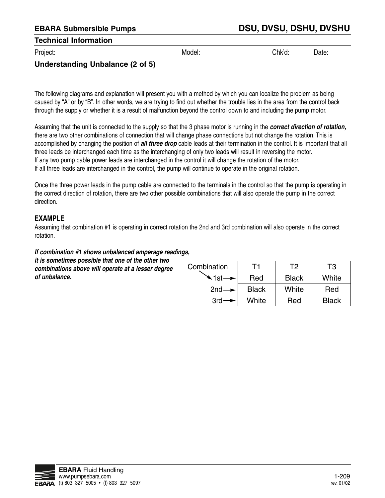Project: Model: Chk'd: Date:

## **Understanding Unbalance (2 of 5)**

The following diagrams and explanation will present you with a method by which you can localize the problem as being caused by "A" or by "B". In other words, we are trying to find out whether the trouble lies in the area from the control back through the supply or whether it is a result of malfunction beyond the control down to and including the pump motor.

Assuming that the unit is connected to the supply so that the 3 phase motor is running in the **correct direction of rotation,** there are two other combinations of connection that will change phase connections but not change the rotation. This is accomplished by changing the position of **all three drop** cable leads at their termination in the control. It is important that all three leads be interchanged each time as the interchanging of only two leads will result in reversing the motor. If any two pump cable power leads are interchanged in the control it will change the rotation of the motor. If all three leads are interchanged in the control, the pump will continue to operate in the original rotation.

Once the three power leads in the pump cable are connected to the terminals in the control so that the pump is operating in the correct direction of rotation, there are two other possible combinations that will also operate the pump in the correct direction.

### **EXAMPLE**

**of unbalance.**

Assuming that combination #1 is operating in correct rotation the 2nd and 3rd combination will also operate in the correct rotation.

## **If combination #1 shows unbalanced amperage readings,**

**it is sometimes possible that one of the other two combinations above will operate at a lesser degree** 

| Combination                   |              | T2           | TЗ           |
|-------------------------------|--------------|--------------|--------------|
| $\triangle$ 1st $\rightarrow$ | Red          | <b>Black</b> | White        |
| $2nd \rightarrow$             | <b>Black</b> | White        | Red          |
| $3rd -$                       | White        | Red          | <b>Black</b> |

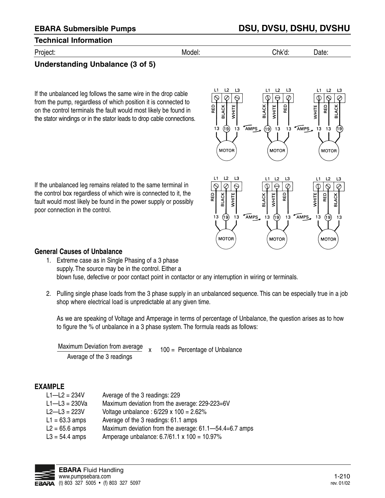## Project: Model: Chk'd: Date:

## **Understanding Unbalance (3 of 5)**

If the unbalanced leg follows the same wire in the drop cable from the pump, regardless of which position it is connected to on the control terminals the fault would most likely be found in the stator windings or in the stator leads to drop cable connections.



If the unbalanced leg remains related to the same terminal in the control box regardless of which wire is connected to it, the fault would most likely be found in the power supply or possibly poor connection in the control.



#### **General Causes of Unbalance**

- 1. Extreme case as in Single Phasing of a 3 phase supply. The source may be in the control. Either a blown fuse, defective or poor contact point in contactor or any interruption in wiring or terminals.
- 2. Pulling single phase loads from the 3 phase supply in an unbalanced sequence. This can be especially true in a job shop where electrical load is unpredictable at any given time.

As we are speaking of Voltage and Amperage in terms of percentage of Unbalance, the question arises as to how to figure the % of unbalance in a 3 phase system. The formula reads as follows:

Maximum Deviation from average  $x = 100$  = Percentage of Unbalance Average of the 3 readings

#### **EXAMPLE**

| $L1 - L2 = 234V$  | Average of the 3 readings: 229                         |
|-------------------|--------------------------------------------------------|
| $L1 - L3 = 230Va$ | Maximum deviation from the average: 229-223=6V         |
| $L2 - L3 = 223V$  | Voltage unbalance : $6/229 \times 100 = 2.62\%$        |
| $L1 = 63.3$ amps  | Average of the 3 readings: 61.1 amps                   |
| $L2 = 65.6$ amps  | Maximum deviation from the average: 61.1–54.4=6.7 amps |
| $L3 = 54.4$ amps  | Amperage unbalance: 6.7/61.1 x 100 = 10.97%            |

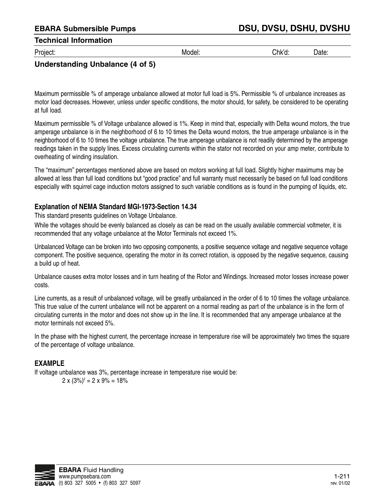Project: Model: Chk'd: Date:

## **Understanding Unbalance (4 of 5)**

Maximum permissible % of amperage unbalance allowed at motor full load is 5%. Permissible % of unbalance increases as motor load decreases. However, unless under specific conditions, the motor should, for safety, be considered to be operating at full load.

Maximum permissible % of Voltage unbalance allowed is 1%. Keep in mind that, especially with Delta wound motors, the true amperage unbalance is in the neighborhood of 6 to 10 times the Delta wound motors, the true amperage unbalance is in the neighborhood of 6 to 10 times the voltage unbalance. The true amperage unbalance is not readily determined by the amperage readings taken in the supply lines. Excess circulating currents within the stator not recorded on your amp meter, contribute to overheating of winding insulation.

The "maximum" percentages mentioned above are based on motors working at full load. Slightly higher maximums may be allowed at less than full load conditions but "good practice" and full warranty must necessarily be based on full load conditions especially with squirrel cage induction motors assigned to such variable conditions as is found in the pumping of liquids, etc.

### **Explanation of NEMA Standard MGI-1973-Section 14.34**

This standard presents guidelines on Voltage Unbalance.

While the voltages should be evenly balanced as closely as can be read on the usually available commercial voltmeter, it is recommended that any voltage unbalance at the Motor Terminals not exceed 1%.

Unbalanced Voltage can be broken into two opposing components, a positive sequence voltage and negative sequence voltage component. The positive sequence, operating the motor in its correct rotation, is opposed by the negative sequence, causing a build up of heat.

Unbalance causes extra motor losses and in turn heating of the Rotor and Windings. Increased motor losses increase power costs.

Line currents, as a result of unbalanced voltage, will be greatly unbalanced in the order of 6 to 10 times the voltage unbalance. This true value of the current unbalance will not be apparent on a normal reading as part of the unbalance is in the form of circulating currents in the motor and does not show up in the line. It is recommended that any amperage unbalance at the motor terminals not exceed 5%.

In the phase with the highest current, the percentage increase in temperature rise will be approximately two times the square of the percentage of voltage unbalance.

## **EXAMPLE**

If voltage unbalance was 3%, percentage increase in temperature rise would be:

 $2 \times (3\%)^2 = 2 \times 9\% = 18\%$